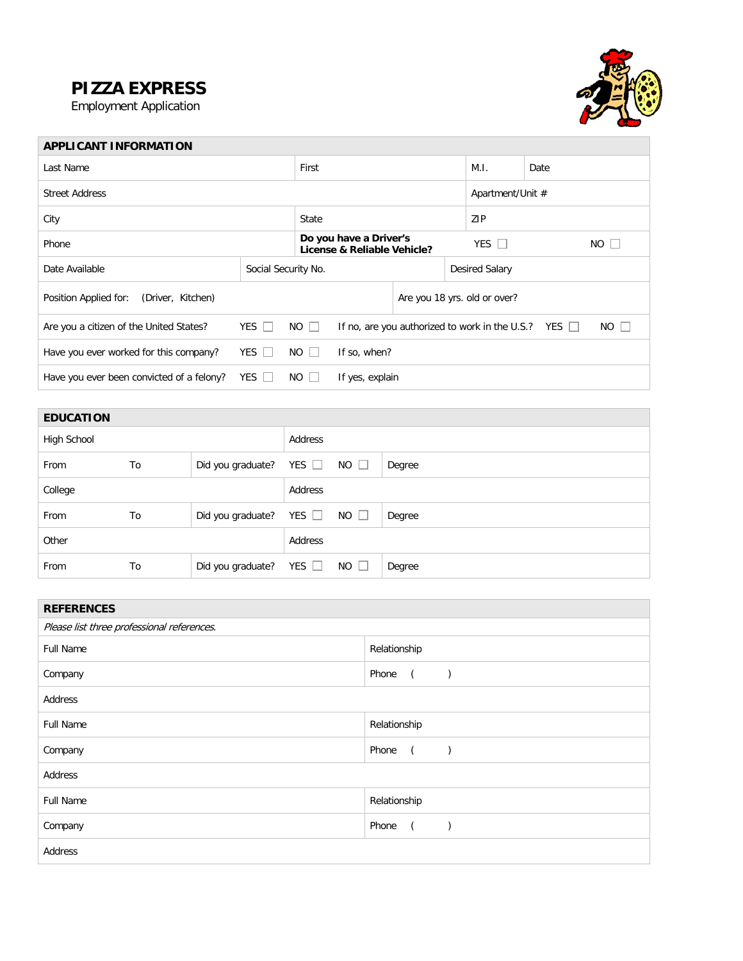## **PIZZA EXPRESS**

Employment Application



| <b>APPLICANT INFORMATION</b>               |                                                                                                       |                             |                                                       |                              |                |                  |      |              |
|--------------------------------------------|-------------------------------------------------------------------------------------------------------|-----------------------------|-------------------------------------------------------|------------------------------|----------------|------------------|------|--------------|
| Last Name                                  |                                                                                                       |                             | First                                                 |                              |                | M.I.             | Date |              |
| <b>Street Address</b>                      |                                                                                                       |                             |                                                       |                              |                | Apartment/Unit # |      |              |
| City                                       |                                                                                                       |                             | State                                                 |                              |                | ZIP              |      |              |
| Phone                                      |                                                                                                       |                             | Do you have a Driver's<br>License & Reliable Vehicle? |                              |                | YES $\Box$       | NO.  | $\mathbb{R}$ |
| Date Available                             | Social Security No.                                                                                   |                             |                                                       |                              | Desired Salary |                  |      |              |
| Position Applied for:<br>(Driver, Kitchen) |                                                                                                       |                             |                                                       | Are you 18 yrs. old or over? |                |                  |      |              |
| Are you a citizen of the United States?    | YES $\Box$<br>$NO$ $\Box$<br>$NO$ $\Box$<br>If no, are you authorized to work in the U.S.? YES $\Box$ |                             |                                                       |                              |                |                  |      |              |
| Have you ever worked for this company?     | YES $\Box$                                                                                            | $NO$ $\Box$<br>If so, when? |                                                       |                              |                |                  |      |              |
| Have you ever been convicted of a felony?  | YES $\Box$                                                                                            | $NO$ $\Box$                 | If yes, explain                                       |                              |                |                  |      |              |

| <b>EDUCATION</b> |    |                              |            |             |        |
|------------------|----|------------------------------|------------|-------------|--------|
| High School      |    |                              | Address    |             |        |
| From             | To | Did you graduate?            | YES $\Box$ | $NO$ $\Box$ | Degree |
| College          |    |                              | Address    |             |        |
| From             | To | Did you graduate?            | YES $\Box$ | $NO$ $\Box$ | Degree |
| Other            |    |                              | Address    |             |        |
| From             | To | Did you graduate? YES $\Box$ |            | $NO$ $\Box$ | Degree |

| <b>REFERENCES</b>                          |                         |  |  |  |
|--------------------------------------------|-------------------------|--|--|--|
| Please list three professional references. |                         |  |  |  |
| <b>Full Name</b>                           | Relationship            |  |  |  |
| Company                                    | Phone<br>$\left($       |  |  |  |
| Address                                    |                         |  |  |  |
| Full Name                                  | Relationship            |  |  |  |
| Company                                    | Phone<br>$\overline{a}$ |  |  |  |
| Address                                    |                         |  |  |  |
| Full Name                                  | Relationship            |  |  |  |
| Company                                    | Phone<br>$\overline{a}$ |  |  |  |
| Address                                    |                         |  |  |  |